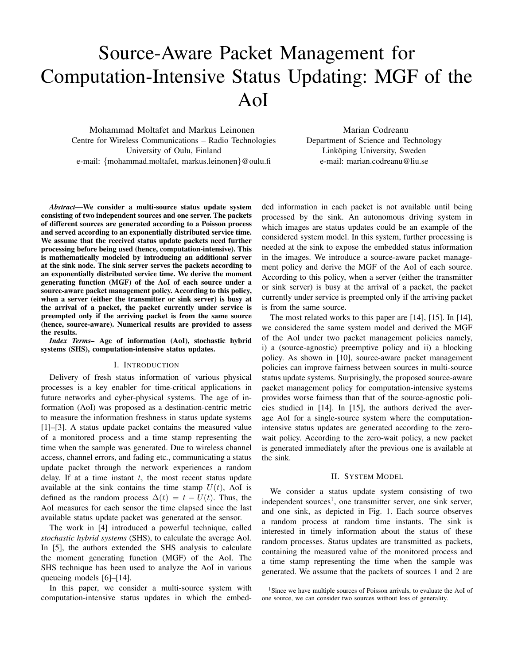# Source-Aware Packet Management for Computation-Intensive Status Updating: MGF of the AoI

Mohammad Moltafet and Markus Leinonen Centre for Wireless Communications – Radio Technologies University of Oulu, Finland e-mail: {mohammad.moltafet, markus.leinonen}@oulu.fi

Marian Codreanu Department of Science and Technology Linköping University, Sweden e-mail: marian.codreanu@liu.se

*Abstract*—We consider a multi-source status update system consisting of two independent sources and one server. The packets of different sources are generated according to a Poisson process and served according to an exponentially distributed service time. We assume that the received status update packets need further processing before being used (hence, computation-intensive). This is mathematically modeled by introducing an additional server at the sink node. The sink server serves the packets according to an exponentially distributed service time. We derive the moment generating function (MGF) of the AoI of each source under a source-aware packet management policy. According to this policy, when a server (either the transmitter or sink server) is busy at the arrival of a packet, the packet currently under service is preempted only if the arriving packet is from the same source (hence, source-aware). Numerical results are provided to assess the results.

*Index Terms–* Age of information (AoI), stochastic hybrid systems (SHS), computation-intensive status updates.

### I. INTRODUCTION

Delivery of fresh status information of various physical processes is a key enabler for time-critical applications in future networks and cyber-physical systems. The age of information (AoI) was proposed as a destination-centric metric to measure the information freshness in status update systems [1]–[3]. A status update packet contains the measured value of a monitored process and a time stamp representing the time when the sample was generated. Due to wireless channel access, channel errors, and fading etc., communicating a status update packet through the network experiences a random delay. If at a time instant  $t$ , the most recent status update available at the sink contains the time stamp  $U(t)$ , AoI is defined as the random process  $\Delta(t) = t - U(t)$ . Thus, the AoI measures for each sensor the time elapsed since the last available status update packet was generated at the sensor.

The work in [4] introduced a powerful technique, called *stochastic hybrid systems* (SHS), to calculate the average AoI. In [5], the authors extended the SHS analysis to calculate the moment generating function (MGF) of the AoI. The SHS technique has been used to analyze the AoI in various queueing models [6]–[14].

In this paper, we consider a multi-source system with computation-intensive status updates in which the embedded information in each packet is not available until being processed by the sink. An autonomous driving system in which images are status updates could be an example of the considered system model. In this system, further processing is needed at the sink to expose the embedded status information in the images. We introduce a source-aware packet management policy and derive the MGF of the AoI of each source. According to this policy, when a server (either the transmitter or sink server) is busy at the arrival of a packet, the packet currently under service is preempted only if the arriving packet is from the same source.

The most related works to this paper are [14], [15]. In [14], we considered the same system model and derived the MGF of the AoI under two packet management policies namely, i) a (source-agnostic) preemptive policy and ii) a blocking policy. As shown in [10], source-aware packet management policies can improve fairness between sources in multi-source status update systems. Surprisingly, the proposed source-aware packet management policy for computation-intensive systems provides worse fairness than that of the source-agnostic policies studied in [14]. In [15], the authors derived the average AoI for a single-source system where the computationintensive status updates are generated according to the zerowait policy. According to the zero-wait policy, a new packet is generated immediately after the previous one is available at the sink.

## II. SYSTEM MODEL

We consider a status update system consisting of two independent sources<sup>1</sup>, one transmitter server, one sink server, and one sink, as depicted in Fig. 1. Each source observes a random process at random time instants. The sink is interested in timely information about the status of these random processes. Status updates are transmitted as packets, containing the measured value of the monitored process and a time stamp representing the time when the sample was generated. We assume that the packets of sources 1 and 2 are

<sup>&</sup>lt;sup>1</sup>Since we have multiple sources of Poisson arrivals, to evaluate the AoI of one source, we can consider two sources without loss of generality.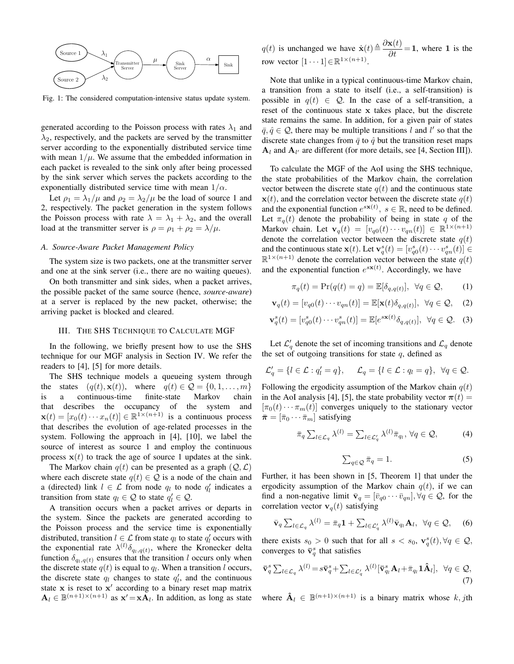

Fig. 1: The considered computation-intensive status update system.

generated according to the Poisson process with rates  $\lambda_1$  and  $\lambda_2$ , respectively, and the packets are served by the transmitter server according to the exponentially distributed service time with mean  $1/\mu$ . We assume that the embedded information in each packet is revealed to the sink only after being processed by the sink server which serves the packets according to the exponentially distributed service time with mean  $1/\alpha$ .

Let  $\rho_1 = \lambda_1/\mu$  and  $\rho_2 = \lambda_2/\mu$  be the load of source 1 and 2, respectively. The packet generation in the system follows the Poisson process with rate  $\lambda = \lambda_1 + \lambda_2$ , and the overall load at the transmitter server is  $\rho = \rho_1 + \rho_2 = \lambda/\mu$ .

## *A. Source-Aware Packet Management Policy*

The system size is two packets, one at the transmitter server and one at the sink server (i.e., there are no waiting queues).

On both transmitter and sink sides, when a packet arrives, the possible packet of the same source (hence, *source-aware*) at a server is replaced by the new packet, otherwise; the arriving packet is blocked and cleared.

# III. THE SHS TECHNIQUE TO CALCULATE MGF

In the following, we briefly present how to use the SHS technique for our MGF analysis in Section IV. We refer the readers to [4], [5] for more details.

The SHS technique models a queueing system through the states  $(q(t), \mathbf{x}(t))$ , where  $q(t) \in \mathcal{Q} = \{0, 1, \dots, m\}$ is a continuous-time finite-state Markov chain that describes the occupancy of the system and  $\mathbf{x}(t) = [x_0(t) \cdots x_n(t)] \in \mathbb{R}^{1 \times (n+1)}$  is a continuous process that describes the evolution of age-related processes in the system. Following the approach in [4], [10], we label the source of interest as source 1 and employ the continuous process  $x(t)$  to track the age of source 1 updates at the sink.

The Markov chain  $q(t)$  can be presented as a graph  $(Q, \mathcal{L})$ where each discrete state  $q(t) \in \mathcal{Q}$  is a node of the chain and a (directed) link  $l \in \mathcal{L}$  from node  $q_l$  to node  $q'_l$  indicates a transition from state  $q_l \in \mathcal{Q}$  to state  $q_l' \in \mathcal{Q}$ .

A transition occurs when a packet arrives or departs in the system. Since the packets are generated according to the Poisson process and the service time is exponentially distributed, transition  $l \in \mathcal{L}$  from state  $q_l$  to state  $q'_l$  occurs with the exponential rate  $\lambda^{(l)}\delta_{q_l,q(t)}$ , where the Kronecker delta function  $\delta_{q_l,q(t)}$  ensures that the transition l occurs only when the discrete state  $q(t)$  is equal to  $q_l$ . When a transition l occurs, the discrete state  $q_l$  changes to state  $q'_l$ , and the continuous state  $x$  is reset to  $x'$  according to a binary reset map matrix  $\mathbf{A}_l \in \mathbb{B}^{(n+1)\times(n+1)}$  as  $\mathbf{x}' = \mathbf{x} \mathbf{A}_l$ . In addition, as long as state  $q(t)$  is unchanged we have  $\dot{\mathbf{x}}(t) \triangleq \frac{\partial \mathbf{x}(t)}{\partial t} = 1$ , where 1 is the row vector  $[1 \cdots 1] \in \mathbb{R}^{1 \times (n+1)}$ .

Note that unlike in a typical continuous-time Markov chain, a transition from a state to itself (i.e., a self-transition) is possible in  $q(t) \in \mathcal{Q}$ . In the case of a self-transition, a reset of the continuous state x takes place, but the discrete state remains the same. In addition, for a given pair of states  $\bar{q}, \hat{q} \in \mathcal{Q}$ , there may be multiple transitions l and l' so that the discrete state changes from  $\bar{q}$  to  $\hat{q}$  but the transition reset maps  $A_l$  and  $A_{l'}$  are different (for more details, see [4, Section III]).

To calculate the MGF of the AoI using the SHS technique, the state probabilities of the Markov chain, the correlation vector between the discrete state  $q(t)$  and the continuous state  $\mathbf{x}(t)$ , and the correlation vector between the discrete state  $q(t)$ and the exponential function  $e^{s\mathbf{x}(t)}$ ,  $s \in \mathbb{R}$ , need to be defined. Let  $\pi_q(t)$  denote the probability of being in state q of the Markov chain. Let  $\mathbf{v}_q(t) = [v_{q0}(t) \cdots v_{qn}(t)] \in \mathbb{R}^{1 \times (n+1)}$ denote the correlation vector between the discrete state  $q(t)$ and the continuous state  $\mathbf{x}(t)$ . Let  $\mathbf{v}_q^s(t) = [v_{q0}^s(t) \cdots v_{qn}^s(t)] \in$  $\mathbb{R}^{1 \times (n+1)}$  denote the correlation vector between the state  $q(t)$ and the exponential function  $e^{sx(t)}$ . Accordingly, we have

$$
\pi_q(t) = \Pr(q(t) = q) = \mathbb{E}[\delta_{q,q(t)}], \ \forall q \in \mathcal{Q}, \tag{1}
$$

$$
\mathbf{v}_q(t) = [v_{q0}(t) \cdots v_{qn}(t)] = \mathbb{E}[\mathbf{x}(t)\delta_{q,q(t)}], \ \forall q \in \mathcal{Q}, \quad (2)
$$

$$
\mathbf{v}_q^s(t) = [v_{q0}^s(t) \cdots v_{qn}^s(t)] = \mathbb{E}[e^{s\mathbf{x}(t)}\delta_{q,q(t)}], \ \forall q \in \mathcal{Q}. \tag{3}
$$

Let  $\mathcal{L}'_q$  denote the set of incoming transitions and  $\mathcal{L}_q$  denote the set of outgoing transitions for state  $q$ , defined as

$$
\mathcal{L}'_q = \{l \in \mathcal{L} : q'_l = q\}, \quad \mathcal{L}_q = \{l \in \mathcal{L} : q_l = q\}, \ \forall q \in \mathcal{Q}.
$$

Following the ergodicity assumption of the Markov chain  $q(t)$ in the AoI analysis [4], [5], the state probability vector  $\pi(t) =$  $[\pi_0(t)\cdots\pi_m(t)]$  converges uniquely to the stationary vector  $\bar{\pi} = [\bar{\pi}_0 \cdots \bar{\pi}_m]$  satisfying

$$
\bar{\pi}_q \sum_{l \in \mathcal{L}_q} \lambda^{(l)} = \sum_{l \in \mathcal{L}'_q} \lambda^{(l)} \bar{\pi}_{q_l}, \forall q \in \mathcal{Q}, \tag{4}
$$

$$
\sum_{q \in \mathcal{Q}} \bar{\pi}_q = 1. \tag{5}
$$

Further, it has been shown in [5, Theorem 1] that under the ergodicity assumption of the Markov chain  $q(t)$ , if we can find a non-negative limit  $\bar{\mathbf{v}}_q = [\bar{v}_{q0} \cdots \bar{v}_{qn}], \forall q \in \mathcal{Q}$ , for the correlation vector  $v_q(t)$  satisfying

$$
\bar{\mathbf{v}}_q \sum_{l \in \mathcal{L}_q} \lambda^{(l)} = \bar{\pi}_q \mathbf{1} + \sum_{l \in \mathcal{L}'_q} \lambda^{(l)} \bar{\mathbf{v}}_{q_l} \mathbf{A}_l, \ \ \forall q \in \mathcal{Q}, \quad (6)
$$

there exists  $s_0 > 0$  such that for all  $s < s_0$ ,  $\mathbf{v}_q^s(t)$ ,  $\forall q \in \mathcal{Q}$ , converges to  $\bar{\mathbf{v}}_q^s$  that satisfies

$$
\bar{\mathbf{v}}_q^s \sum_{l \in \mathcal{L}_q} \lambda^{(l)} = s \bar{\mathbf{v}}_q^s + \sum_{l \in \mathcal{L}_q'} \lambda^{(l)} [\bar{\mathbf{v}}_{q_l}^s \mathbf{A}_l + \bar{\pi}_{q_l} \mathbf{1} \hat{\mathbf{A}}_l], \ \ \forall q \in \mathcal{Q},
$$
\n(7)

where  $\hat{A}_l \in \mathbb{B}^{(n+1)\times(n+1)}$  is a binary matrix whose  $k, j$ th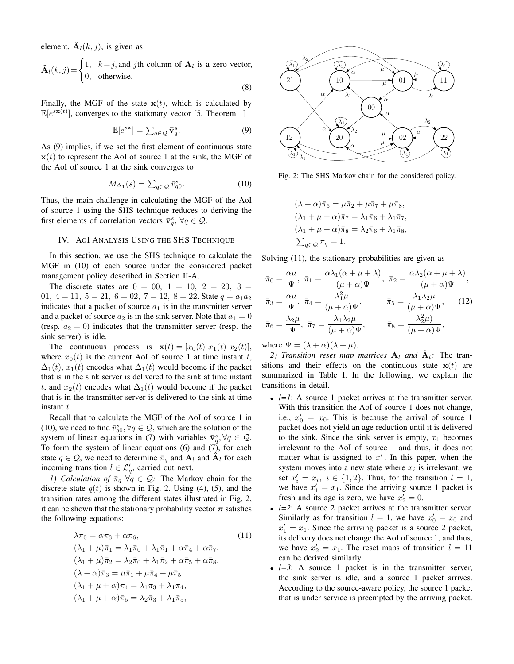element,  $\hat{A}_l(k, j)$ , is given as

$$
\hat{\mathbf{A}}_l(k,j) = \begin{cases} 1, & k=j, \text{and } j \text{th column of } \mathbf{A}_l \text{ is a zero vector,} \\ 0, & \text{otherwise.} \end{cases}
$$

(8)

Finally, the MGF of the state  $x(t)$ , which is calculated by  $\mathbb{E}[e^{s \mathbf{x}(t)}]$ , converges to the stationary vector [5, Theorem 1]

$$
\mathbb{E}[e^{s\mathbf{x}}] = \sum_{q \in \mathcal{Q}} \bar{\mathbf{v}}_q^s. \tag{9}
$$

As (9) implies, if we set the first element of continuous state  $x(t)$  to represent the AoI of source 1 at the sink, the MGF of the AoI of source 1 at the sink converges to

$$
M_{\Delta_1}(s) = \sum_{q \in \mathcal{Q}} \bar{v}_{q0}^s.
$$
 (10)

Thus, the main challenge in calculating the MGF of the AoI of source 1 using the SHS technique reduces to deriving the first elements of correlation vectors  $\bar{\mathbf{v}}_q^s$ ,  $\forall q \in \mathcal{Q}$ .

# IV. AOI ANALYSIS USING THE SHS TECHNIQUE

In this section, we use the SHS technique to calculate the MGF in (10) of each source under the considered packet management policy described in Section II-A.

The discrete states are  $0 = 00, 1 = 10, 2 = 20, 3 = 1$ 01,  $4 = 11$ ,  $5 = 21$ ,  $6 = 02$ ,  $7 = 12$ ,  $8 = 22$ . State  $q = a_1 a_2$ indicates that a packet of source  $a_1$  is in the transmitter server and a packet of source  $a_2$  is in the sink server. Note that  $a_1 = 0$ (resp.  $a_2 = 0$ ) indicates that the transmitter server (resp. the sink server) is idle.

The continuous process is  $\mathbf{x}(t) = [x_0(t) \ x_1(t) \ x_2(t)],$ where  $x_0(t)$  is the current AoI of source 1 at time instant t,  $\Delta_1(t)$ ,  $x_1(t)$  encodes what  $\Delta_1(t)$  would become if the packet that is in the sink server is delivered to the sink at time instant t, and  $x_2(t)$  encodes what  $\Delta_1(t)$  would become if the packet that is in the transmitter server is delivered to the sink at time instant  $t$ .

Recall that to calculate the MGF of the AoI of source 1 in (10), we need to find  $\bar{v}_{q0}^s, \forall q \in \mathcal{Q}$ , which are the solution of the system of linear equations in (7) with variables  $\bar{\mathbf{v}}_q^s, \forall q \in \mathcal{Q}$ . To form the system of linear equations  $(6)$  and  $(7)$ , for each state  $q \in \mathcal{Q}$ , we need to determine  $\bar{\pi}_q$  and  $\mathbf{A}_l$  and  $\mathbf{A}_l$  for each incoming transition  $l \in \mathcal{L}'_q$ , carried out next.

*1) Calculation of*  $\bar{\pi}_q \ \forall q \in \mathcal{Q}$ : The Markov chain for the discrete state  $q(t)$  is shown in Fig. 2. Using (4), (5), and the transition rates among the different states illustrated in Fig. 2, it can be shown that the stationary probability vector  $\bar{\pi}$  satisfies the following equations:

$$
\lambda \bar{\pi}_0 = \alpha \bar{\pi}_3 + \alpha \bar{\pi}_6,
$$
\n(11)  
\n
$$
(\lambda_1 + \mu) \bar{\pi}_1 = \lambda_1 \bar{\pi}_0 + \lambda_1 \bar{\pi}_1 + \alpha \bar{\pi}_4 + \alpha \bar{\pi}_7,
$$
\n
$$
(\lambda_1 + \mu) \bar{\pi}_2 = \lambda_2 \bar{\pi}_0 + \lambda_1 \bar{\pi}_2 + \alpha \bar{\pi}_5 + \alpha \bar{\pi}_8,
$$
\n
$$
(\lambda + \alpha) \bar{\pi}_3 = \mu \bar{\pi}_1 + \mu \bar{\pi}_4 + \mu \bar{\pi}_5,
$$
\n
$$
(\lambda_1 + \mu + \alpha) \bar{\pi}_4 = \lambda_1 \bar{\pi}_3 + \lambda_1 \bar{\pi}_4,
$$
\n
$$
(\lambda_1 + \mu + \alpha) \bar{\pi}_5 = \lambda_2 \bar{\pi}_3 + \lambda_1 \bar{\pi}_5,
$$
\n(11)



Fig. 2: The SHS Markov chain for the considered policy.

$$
(\lambda + \alpha)\bar{\pi}_6 = \mu \bar{\pi}_2 + \mu \bar{\pi}_7 + \mu \bar{\pi}_8,
$$
  
\n
$$
(\lambda_1 + \mu + \alpha)\bar{\pi}_7 = \lambda_1 \bar{\pi}_6 + \lambda_1 \bar{\pi}_7,
$$
  
\n
$$
(\lambda_1 + \mu + \alpha)\bar{\pi}_8 = \lambda_2 \bar{\pi}_6 + \lambda_1 \bar{\pi}_8,
$$
  
\n
$$
\sum_{q \in \mathcal{Q}} \bar{\pi}_q = 1.
$$

Solving  $(11)$ , the stationary probabilities are given as

$$
\bar{\pi}_0 = \frac{\alpha \mu}{\Psi}, \quad \bar{\pi}_1 = \frac{\alpha \lambda_1 (\alpha + \mu + \lambda)}{(\mu + \alpha) \Psi}, \quad \bar{\pi}_2 = \frac{\alpha \lambda_2 (\alpha + \mu + \lambda)}{(\mu + \alpha) \Psi},
$$
\n
$$
\bar{\pi}_3 = \frac{\alpha \mu}{\Psi}, \quad \bar{\pi}_4 = \frac{\lambda_1^2 \mu}{(\mu + \alpha) \Psi}, \qquad \bar{\pi}_5 = \frac{\lambda_1 \lambda_2 \mu}{(\mu + \alpha) \Psi}, \qquad (12)
$$
\n
$$
\bar{\pi}_6 = \frac{\lambda_2 \mu}{\Psi}, \quad \bar{\pi}_7 = \frac{\lambda_1 \lambda_2 \mu}{(\mu + \alpha) \Psi}, \qquad \bar{\pi}_8 = \frac{\lambda_2^2 \mu}{(\mu + \alpha) \Psi},
$$

where  $\Psi = (\lambda + \alpha)(\lambda + \mu)$ .

*2) Transition reset map matrices*  $A_l$  *and*  $A_l$ *:* The transitions and their effects on the continuous state  $x(t)$  are summarized in Table I. In the following, we explain the transitions in detail.

- *l=1*: A source 1 packet arrives at the transmitter server. With this transition the AoI of source 1 does not change, i.e.,  $x'_0 = x_0$ . This is because the arrival of source 1 packet does not yield an age reduction until it is delivered to the sink. Since the sink server is empty,  $x_1$  becomes irrelevant to the AoI of source 1 and thus, it does not matter what is assigned to  $x'_1$ . In this paper, when the system moves into a new state where  $x_i$  is irrelevant, we set  $x'_i = x_i$ ,  $i \in \{1, 2\}$ . Thus, for the transition  $l = 1$ , we have  $x'_1 = x_1$ . Since the arriving source 1 packet is fresh and its age is zero, we have  $x'_2 = 0$ .
- $\bullet$   $l=2$ : A source 2 packet arrives at the transmitter server. Similarly as for transition  $l = 1$ , we have  $x'_0 = x_0$  and  $x'_1 = x_1$ . Since the arriving packet is a source 2 packet, its delivery does not change the AoI of source 1, and thus, we have  $x_2' = x_1$ . The reset maps of transition  $l = 11$ can be derived similarly.
- $\bullet$   $l=3$ : A source 1 packet is in the transmitter server, the sink server is idle, and a source 1 packet arrives. According to the source-aware policy, the source 1 packet that is under service is preempted by the arriving packet.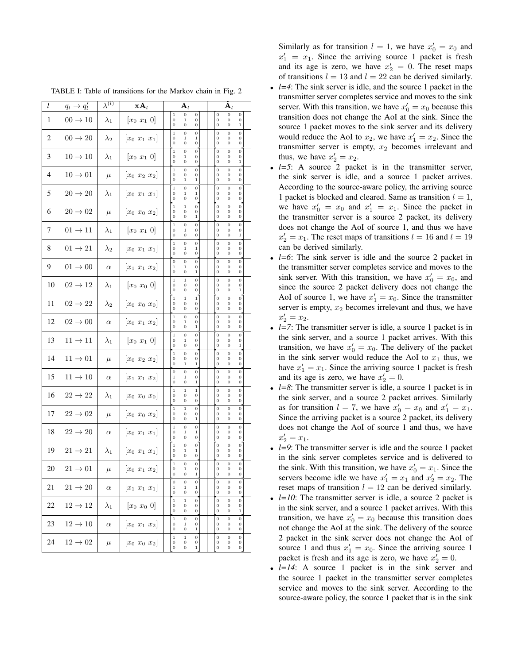| l  | $q_l \rightarrow q'_l$ | $\overline{\lambda^{(l)}}$ | $\mathbf{xA}_l$                                 | ${\bf A}_l$                                                                                | $\ddot{\mathbf{A}}_l$                                                                  |
|----|------------------------|----------------------------|-------------------------------------------------|--------------------------------------------------------------------------------------------|----------------------------------------------------------------------------------------|
| 1  | $00 \rightarrow 10$    | $\lambda_1$                | $[x_0 x_1 0]$                                   | $\mathbf 1$<br>0<br>0<br>$\mathbf 0$<br>$\,1$<br>$\mathbf{0}$<br>$\bf{0}$<br>0<br>0        | $\mathbf 0$<br>0<br>0<br>$\overline{0}$<br>0<br>0<br>$\mathbf 1$<br>0<br>0             |
| 2  | $00 \rightarrow 20$    | $\lambda_2$                | $[x_0 x_1 x_1]$                                 | $\mathbf 1$<br>0<br>0<br>$\mathbf{0}$<br>1<br>1<br>0<br>0<br>0                             | $\overline{0}$<br>0<br>0<br>$\mathbf{0}$<br>0<br>0<br>0<br>0<br>0                      |
| 3  | $10 \rightarrow 10$    | $\lambda_1$                | $[x_0 x_1 0]$                                   | $\mathbf 1$<br>0<br>0<br>0<br>$\mathbf 1$<br>0<br>0<br>0<br>0                              | $\mathbf 0$<br>0<br>0<br>0<br>0<br>0<br>$\mathbf{0}$<br>0<br>$\mathbf 1$               |
| 4  | $10 \rightarrow 01$    | $\mu$                      | $\begin{bmatrix} x_0 & x_2 & x_2 \end{bmatrix}$ | $\mathbf{1}$<br>0<br>0<br>$\mathbf{0}$<br>0<br>0<br>$\overline{0}$<br>$\mathbf 1$<br>$\,1$ | $\overline{0}$<br>0<br>0<br>0<br>$\theta$<br>0<br>$\mathbf{0}$<br>0<br>0               |
| 5  | $20 \rightarrow 20$    | $\lambda_1$                | $[x_0 x_1 x_1]$                                 | $\mathbf{1}$<br>0<br>$\boldsymbol{0}$<br>$\mathbf{0}$<br>1<br>0<br>0<br>0                  | $\mathbf 0$<br>0<br>0<br>$\mathbf{0}$<br>0<br>0<br>$\mathbf{0}$<br>0<br>0              |
| 6  | $20 \rightarrow 02$    | $\mu$                      | $[x_0 x_0 x_2]$                                 | $\,$ 1 $\,$<br>$\mathbf 1$<br>0<br>0<br>0<br>0<br>0<br>$\,1$<br>0                          | $\mathbf 0$<br>$\overline{0}$<br>0<br>0<br>0<br>0<br>0<br>0<br>0                       |
| 7  | $01 \rightarrow 11$    | $\lambda_1$                | $[x_0 \ x_1 \ 0]$                               | $\mathbf 1$<br>$\mathbf 0$<br>0<br>$\mathbf 0$<br>$\,1$<br>$\mathbf{0}$<br>0<br>0<br>0     | $\overline{0}$<br>0<br>$\mathbf 0$<br>0<br>$\theta$<br>0<br>0<br>0<br>1                |
| 8  | $01 \rightarrow 21$    | $\lambda_2$                | $[x_0 x_1 x_1]$                                 | $\mathbf 1$<br>0<br>$\boldsymbol{0}$<br>$\mathbf 0$<br>1<br>1<br>0<br>0<br>0               | $\mathbf 0$<br>0<br>0<br>0<br>0<br>0<br>0<br>0<br>0                                    |
| 9  | $01 \rightarrow 00$    | $\alpha$                   | $\begin{bmatrix} x_1 & x_1 & x_2 \end{bmatrix}$ | $\bf{0}$<br>0<br>0<br>$\mathbf 1$<br>$\,1$<br>0<br>0<br>0<br>$\,1$                         | $\bf{0}$<br>$\mathbf 0$<br>0<br>0<br>0<br>0<br>0<br>0<br>0                             |
| 10 | $02 \rightarrow 12$    | $\lambda_1$                | $[x_0 x_0 0]$                                   | $\,1\,$<br>$\,1$<br>0<br>0<br>0<br>0<br>0<br>0<br>0                                        | $\bf{0}$<br>0<br>0<br>0<br>0<br>0<br>$\mathbf{0}$<br>0<br>$\,1$                        |
| 11 | $02 \rightarrow 22$    | $\lambda_2$                | $[x_0 x_0 x_0]$                                 | $\,$ 1<br>$\,1\,$<br>$\,1$<br>$\mathbf 0$<br>0<br>0<br>0<br>0<br>0                         | $\overline{0}$<br>0<br>0<br>0<br>$\theta$<br>0<br>$\mathbf{0}$<br>0<br>0               |
| 12 | $02 \rightarrow 00$    | $\alpha$                   | $[x_0 x_1 x_2]$                                 | $\mathbf 1$<br>0<br>0<br>0<br>$\mathbf 1$<br>$\Omega$<br>0<br>0<br>1                       | $\mathbf 0$<br>0<br>0<br>0<br>0<br>0<br>0<br>0<br>0                                    |
| 13 | $11 \rightarrow 11$    | $\lambda_1$                | $[x_0 \ x_1 \ 0]$                               | $\mathbf 1$<br>0<br>0<br>0<br>1<br>0<br>0<br>0<br>0                                        | $\mathbf 0$<br>0<br>0<br>0<br>0<br>0<br>$\mathbf{0}$<br>0<br>1                         |
| 14 | $11 \rightarrow 01$    | $\mu$                      | $[x_0 \ x_2 \ x_2]$                             | $\mathbf{1}$<br>0<br>0<br>$\mathbf 0$<br>0<br>0<br>0<br>$\mathbf{1}$<br>$\mathbf{1}$       | $\overline{0}$<br>0<br>0<br>0<br>$\theta$<br>0<br>0<br>0<br>0                          |
| 15 | $11 \rightarrow 10$    | $\alpha$                   | $\begin{bmatrix} x_1 & x_1 & x_2 \end{bmatrix}$ | 0<br>0<br>0<br>$\mathbf 1$<br>1<br>0<br>0<br>0<br>1                                        | $\bf{0}$<br>0<br>0<br>0<br>0<br>0<br>0<br>0<br>0                                       |
| 16 | $22 \rightarrow 22$    | $\lambda_1$                | $[x_0 x_0 x_0]$                                 | $\mathbf 1$<br>$\,1$<br>$\mathbf 1$<br>0<br>0<br>0<br>0<br>0<br>0                          | $\mathbf 0$<br>0<br>0<br>0<br>0<br>0<br>$\mathbf{0}$<br>0<br>0                         |
| 17 | $22\to02$              | $\mu$                      | $\begin{bmatrix} x_0 & x_0 & x_2 \end{bmatrix}$ | $\mathbf 1$<br>$\,1$<br>0<br>$\mathbf 0$<br>0<br>0<br>$\mathbf 0$<br>0<br>$\mathbf 1$      | $\overline{0}$<br>0<br>0<br>$\mathbf{0}$<br>0<br>0<br>$\mathbf{0}$<br>0<br>0           |
| 18 | $22 \rightarrow 20$    | $\alpha$                   | $[x_0 \; x_1 \; x_1]$                           | $\,$ 1<br>0<br>$\boldsymbol{0}$<br>0<br>1<br>1<br>0<br>0<br>0                              | $\mathbf 0$<br>$\overline{0}$<br>0<br>0<br>0<br>0<br>0<br>0<br>0                       |
| 19 | $21 \rightarrow 21$    | $\lambda_1$                | $[x_0 x_1 x_1]$                                 | $\mathbf 1$<br>0<br>0<br>0<br>1<br>1<br>0<br>0<br>0                                        | $\mathbf 0$<br>0<br>0<br>0<br>0<br>0<br>$\bf{0}$<br>0<br>0                             |
| 20 | $21 \rightarrow 01$    | $\mu$                      | $ x_0 x_1 x_2 $                                 | $\,$ 1<br>0<br>0<br>0<br>$\mathbf 1$<br>0<br>0<br>0<br>1                                   | $\mathbf 0$<br>0<br>0<br>$\bf{0}$<br>0<br>0<br>0<br>0<br>0                             |
| 21 | $21 \rightarrow 20$    | $\alpha$                   | $\begin{bmatrix} x_1 & x_1 & x_1 \end{bmatrix}$ | $\boldsymbol{0}$<br>$\mathbf 0$<br>0<br>$\mathbf{1}$<br>1<br>1<br>0<br>0<br>0              | $\mathbf 0$<br>0<br>0<br>$\bf{0}$<br>0<br>0<br>0<br>0<br>0                             |
| 22 | $12 \rightarrow 12$    | $\lambda_1$                | $[x_0 x_0 0]$                                   | $\mathbf 1$<br>$\,1\,$<br>0<br>0<br>0<br>0<br>0<br>0<br>0                                  | $\mathbf 0$<br>0<br>0<br>$\bf{0}$<br>0<br>0<br>0<br>0<br>1                             |
| 23 | $12 \rightarrow 10$    | $\alpha$                   | $\begin{bmatrix} x_0 & x_1 & x_2 \end{bmatrix}$ | $\mathbf{1}$<br>0<br>0<br>0<br>$\,1$<br>0<br>0<br>0<br>$\,1$                               | $\mathbf 0$<br>0<br>0<br>0<br>0<br>0<br>0<br>0<br>0                                    |
| 24 | $12 \rightarrow 02$    | $\mu$                      | $[x_0 \ x_0 \ x_2]$                             | $\mathbf 1$<br>$\,1\,$<br>$\,0$<br>0<br>0<br>0<br>$\boldsymbol{0}$<br>0<br>1               | $\boldsymbol{0}$<br>0<br>$\boldsymbol{0}$<br>0<br>0<br>0<br>$\boldsymbol{0}$<br>0<br>0 |

TABLE I: Table of transitions for the Markov chain in Fig. 2

Similarly as for transition  $l = 1$ , we have  $x'_0 = x_0$  and  $x'_1 = x_1$ . Since the arriving source 1 packet is fresh and its age is zero, we have  $x'_2 = 0$ . The reset maps of transitions  $l = 13$  and  $l = 22$  can be derived similarly.

- $l=4$ : The sink server is idle, and the source 1 packet in the transmitter server completes service and moves to the sink server. With this transition, we have  $x'_0 = x_0$  because this transition does not change the AoI at the sink. Since the source 1 packet moves to the sink server and its delivery would reduce the AoI to  $x_2$ , we have  $x'_1 = x_2$ . Since the transmitter server is empty,  $x_2$  becomes irrelevant and thus, we have  $x'_2 = x_2$ .
- *l*=5: A source 2 packet is in the transmitter server, the sink server is idle, and a source 1 packet arrives. According to the source-aware policy, the arriving source 1 packet is blocked and cleared. Same as transition  $l = 1$ , we have  $x'_0 = x_0$  and  $x'_1 = x_1$ . Since the packet in the transmitter server is a source 2 packet, its delivery does not change the AoI of source 1, and thus we have  $x_2' = x_1$ . The reset maps of transitions  $l = 16$  and  $l = 19$ can be derived similarly.
- *l=6*: The sink server is idle and the source 2 packet in the transmitter server completes service and moves to the sink server. With this transition, we have  $x'_0 = x_0$ , and since the source 2 packet delivery does not change the AoI of source 1, we have  $x'_1 = x_0$ . Since the transmitter server is empty,  $x_2$  becomes irrelevant and thus, we have  $x'_2 = x_2.$
- *l=7*: The transmitter server is idle, a source 1 packet is in the sink server, and a source 1 packet arrives. With this transition, we have  $x'_0 = x_0$ . The delivery of the packet in the sink server would reduce the AoI to  $x_1$  thus, we have  $x_1' = x_1$ . Since the arriving source 1 packet is fresh and its age is zero, we have  $x'_2 = 0$ .
- *l=8*: The transmitter server is idle, a source 1 packet is in the sink server, and a source 2 packet arrives. Similarly as for transition  $l = 7$ , we have  $x'_0 = x_0$  and  $x'_1 = x_1$ . Since the arriving packet is a source 2 packet, its delivery does not change the AoI of source 1 and thus, we have  $x'_2 = x_1.$
- *l=9*: The transmitter server is idle and the source 1 packet in the sink server completes service and is delivered to the sink. With this transition, we have  $x'_0 = x_1$ . Since the servers become idle we have  $x'_1 = x_1$  and  $x'_2 = x_2$ . The reset maps of transition  $l = 12$  can be derived similarly.
- *l=10*: The transmitter server is idle, a source 2 packet is in the sink server, and a source 1 packet arrives. With this transition, we have  $x'_0 = x_0$  because this transition does not change the AoI at the sink. The delivery of the source 2 packet in the sink server does not change the AoI of source 1 and thus  $x'_1 = x_0$ . Since the arriving source 1 packet is fresh and its age is zero, we have  $x'_2 = 0$ .
- $l=14$ : A source 1 packet is in the sink server and the source 1 packet in the transmitter server completes service and moves to the sink server. According to the source-aware policy, the source 1 packet that is in the sink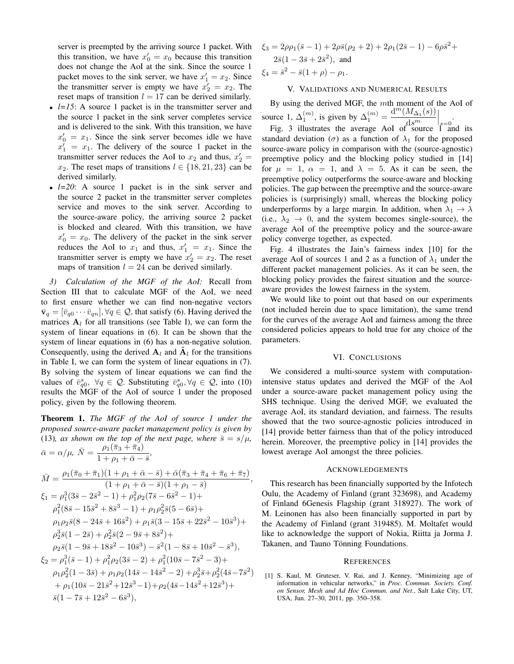server is preempted by the arriving source 1 packet. With this transition, we have  $x'_0 = x_0$  because this transition does not change the AoI at the sink. Since the source 1 packet moves to the sink server, we have  $x'_1 = x_2$ . Since the transmitter server is empty we have  $x'_2 = x_2$ . The reset maps of transition  $l = 17$  can be derived similarly.

- $\bullet$   $l=15$ : A source 1 packet is in the transmitter server and the source 1 packet in the sink server completes service and is delivered to the sink. With this transition, we have  $x'_0 = x_1$ . Since the sink server becomes idle we have  $x_1' = x_1$ . The delivery of the source 1 packet in the transmitter server reduces the AoI to  $x_2$  and thus,  $x_2' =$  $x_2$ . The reset maps of transitions  $l \in \{18, 21, 23\}$  can be derived similarly.
- *l=20*: A source 1 packet is in the sink server and the source 2 packet in the transmitter server completes service and moves to the sink server. According to the source-aware policy, the arriving source 2 packet is blocked and cleared. With this transition, we have  $x'_0 = x_0$ . The delivery of the packet in the sink server reduces the AoI to  $x_1$  and thus,  $x'_1 = x_1$ . Since the transmitter server is empty we have  $x'_2 = x_2$ . The reset maps of transition  $l = 24$  can be derived similarly.

*3) Calculation of the MGF of the AoI:* Recall from Section III that to calculate MGF of the AoI, we need to first ensure whether we can find non-negative vectors  $\bar{\mathbf{v}}_q = [\bar{v}_{q0} \cdots \bar{v}_{qn}], \forall q \in \mathcal{Q}$ , that satisfy (6). Having derived the matrices  $A_l$  for all transitions (see Table I), we can form the system of linear equations in (6). It can be shown that the system of linear equations in (6) has a non-negative solution. Consequently, using the derived  $A_l$  and  $A_l$  for the transitions in Table I, we can form the system of linear equations in (7). By solving the system of linear equations we can find the values of  $\bar{v}_{q0}^s$ ,  $\forall q \in \mathcal{Q}$ . Substituting  $\bar{v}_{q0}^s$ ,  $\forall q \in \mathcal{Q}$ , into (10) results the MGF of the AoI of source 1 under the proposed policy, given by the following theorem.

Theorem 1. *The MGF of the AoI of source 1 under the proposed source-aware packet management policy is given by* (13)*, as shown on the top of the next page, where*  $\bar{s} = s/\mu$ *,*  $\bar{\alpha} = \alpha/\mu, \ \bar{N} = \frac{\rho_1(\bar{\pi}_3 + \bar{\pi}_4)}{1+\pi^2}$  $\frac{\rho_1(s_3 + \kappa_4)}{1 + \rho_1 + \bar{\alpha} - \bar{s}},$ 

$$
\bar{M} = \frac{\rho_1(\bar{\pi}_0 + \bar{\pi}_1)(1 + \rho_1 + \bar{\alpha} - \bar{s}) + \bar{\alpha}(\bar{\pi}_3 + \bar{\pi}_4 + \bar{\pi}_6 + \bar{\pi}_7)}{(1 + \rho_1 + \bar{\alpha} - \bar{s})(1 + \rho_1 - \bar{s})},
$$
\n
$$
\xi_1 = \rho_1^3(3\bar{s} - 2\bar{s}^2 - 1) + \rho_1^2\rho_2(7\bar{s} - 6\bar{s}^2 - 1) +
$$
\n
$$
\rho_1^2(8\bar{s} - 15\bar{s}^2 + 8\bar{s}^3 - 1) + \rho_1\rho_2^2\bar{s}(5 - 6\bar{s}) +
$$
\n
$$
\rho_1\rho_2\bar{s}(8 - 24\bar{s} + 16\bar{s}^2) + \rho_1\bar{s}(3 - 15\bar{s} + 22\bar{s}^2 - 10\bar{s}^3) +
$$
\n
$$
\rho_2^3\bar{s}(1 - 2\bar{s}) + \rho_2^2\bar{s}(2 - 9\bar{s} + 8\bar{s}^2) +
$$
\n
$$
\rho_2\bar{s}(1 - 9\bar{s} + 18\bar{s}^2 - 10\bar{s}^3) - \bar{s}^2(1 - 8\bar{s} + 10\bar{s}^2 - \bar{s}^3),
$$
\n
$$
\xi_2 = \rho_1^3(\bar{s} - 1) + \rho_1^2\rho_2(3\bar{s} - 2) + \rho_1^2(10\bar{s} - 7\bar{s}^2 - 3) +
$$
\n
$$
\rho_1\rho_2^2(1 - 3\bar{s}) + \rho_1\rho_2(14\bar{s} - 14\bar{s}^2 - 2) + \rho_2^3\bar{s} + \rho_2^2(4\bar{s} - 7\bar{s}^2) + \rho_1(10\bar{s} - 21\bar{s}^2 + 12\bar{s}^3 - 1) + \rho_2(4\bar{s} - 14\bar{s}^2 + 12\bar{s}^3) +
$$
\n
$$
\bar{s}(1 - 7\bar{s} + 12\bar{s}^2 - 6\bar{s}^3),
$$

$$
\xi_3 = 2\rho \rho_1 (\bar{s} - 1) + 2\rho \bar{s} (\rho_2 + 2) + 2\rho_1 (2\bar{s} - 1) - 6\rho \bar{s}^2 + 2\bar{s} (1 - 3\bar{s} + 2\bar{s}^2),
$$
 and  

$$
\xi_4 = \bar{s}^2 - \bar{s} (1 + \rho) - \rho_1.
$$

# V. VALIDATIONS AND NUMERICAL RESULTS

By using the derived MGF, the mth moment of the AoI of source 1,  $\Delta_1^{(m)}$ , is given by  $\Delta_1^{(m)} = \frac{d^m (M_{\Delta_1}(s))}{d^m}$  $\Big|_{s=0}$ .

 $ds^m$ Fig. 3 illustrates the average AoI of source  $\tilde{1}$  and its standard deviation ( $\sigma$ ) as a function of  $\lambda_1$  for the proposed source-aware policy in comparison with the (source-agnostic) preemptive policy and the blocking policy studied in [14] for  $\mu = 1$ ,  $\alpha = 1$ , and  $\lambda = 5$ . As it can be seen, the preemptive policy outperforms the source-aware and blocking policies. The gap between the preemptive and the source-aware policies is (surprisingly) small, whereas the blocking policy underperforms by a large margin. In addition, when  $\lambda_1 \rightarrow \lambda$ (i.e.,  $\lambda_2 \rightarrow 0$ , and the system becomes single-source), the average AoI of the preemptive policy and the source-aware policy converge together, as expected.

Fig. 4 illustrates the Jain's fairness index [10] for the average AoI of sources 1 and 2 as a function of  $\lambda_1$  under the different packet management policies. As it can be seen, the blocking policy provides the fairest situation and the sourceaware provides the lowest fairness in the system.

We would like to point out that based on our experiments (not included herein due to space limitation), the same trend for the curves of the average AoI and fairness among the three considered policies appears to hold true for any choice of the parameters.

#### VI. CONCLUSIONS

We considered a multi-source system with computationintensive status updates and derived the MGF of the AoI under a source-aware packet management policy using the SHS technique. Using the derived MGF, we evaluated the average AoI, its standard deviation, and fairness. The results showed that the two source-agnostic policies introduced in [14] provide better fairness than that of the policy introduced herein. Moreover, the preemptive policy in [14] provides the lowest average AoI amongst the three policies.

## ACKNOWLEDGEMENTS

This research has been financially supported by the Infotech Oulu, the Academy of Finland (grant 323698), and Academy of Finland 6Genesis Flagship (grant 318927). The work of M. Leinonen has also been financially supported in part by the Academy of Finland (grant 319485). M. Moltafet would like to acknowledge the support of Nokia, Riitta ja Jorma J. Takanen, and Tauno Tönning Foundations.

#### **REFERENCES**

[1] S. Kaul, M. Gruteser, V. Rai, and J. Kenney, "Minimizing age of information in vehicular networks," in *Proc. Commun. Society. Conf. on Sensor, Mesh and Ad Hoc Commun. and Net.*, Salt Lake City, UT, USA, Jun. 27–30, 2011, pp. 350–358.